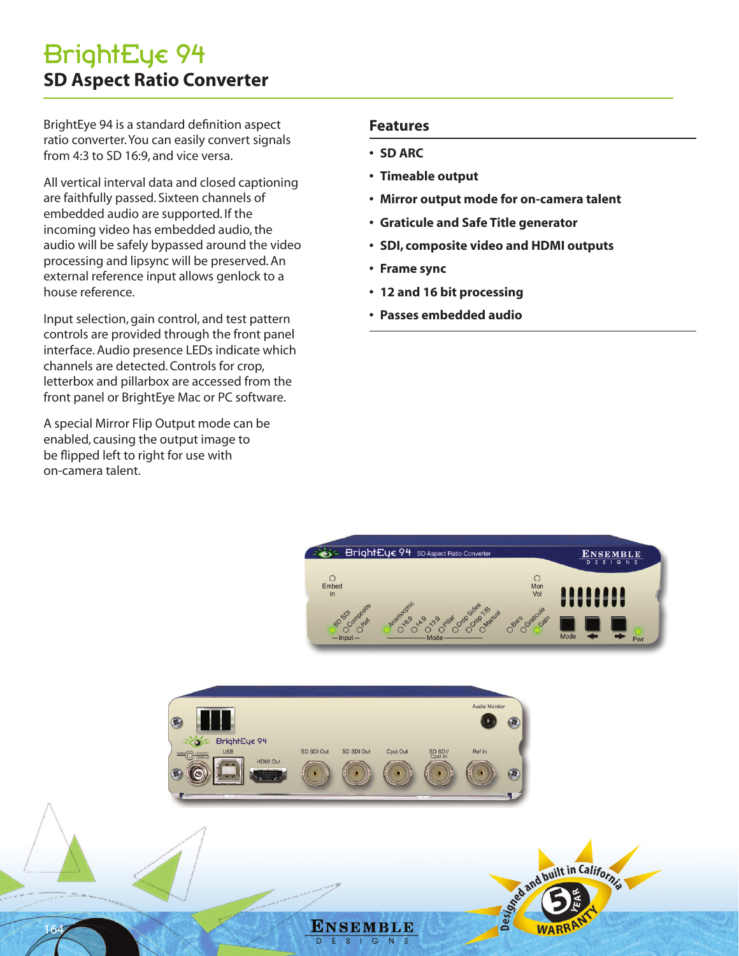BrightEye 94 is a standard definition aspect ratio converter. You can easily convert signals from 4:3 to SD 16:9, and vice versa.

All vertical interval data and closed captioning are faithfully passed. Sixteen channels of embedded audio are supported. If the incoming video has embedded audio, the audio will be safely bypassed around the video processing and lipsync will be preserved. An external reference input allows genlock to a house reference.

Input selection, gain control, and test pattern controls are provided through the front panel interface. Audio presence LEDs indicate which channels are detected. Controls for crop, letterbox and pillarbox are accessed from the front panel or BrightEye Mac or PC software.

A special Mirror Flip Output mode can be enabled, causing the output image to be flipped left to right for use with on-camera talent.

164

### **Features**

### **• SD ARC**

- **• Timeable output**
- **• Mirror output mode for on-camera talent**
- **• Graticule and Safe Title generator**
- **• SDI, composite video and HDMI outputs**
- **• Frame sync**
- **• 12 and 16 bit processing**
- **• Passes embedded audio**



and built in California



ENSEMBLE G  $N$